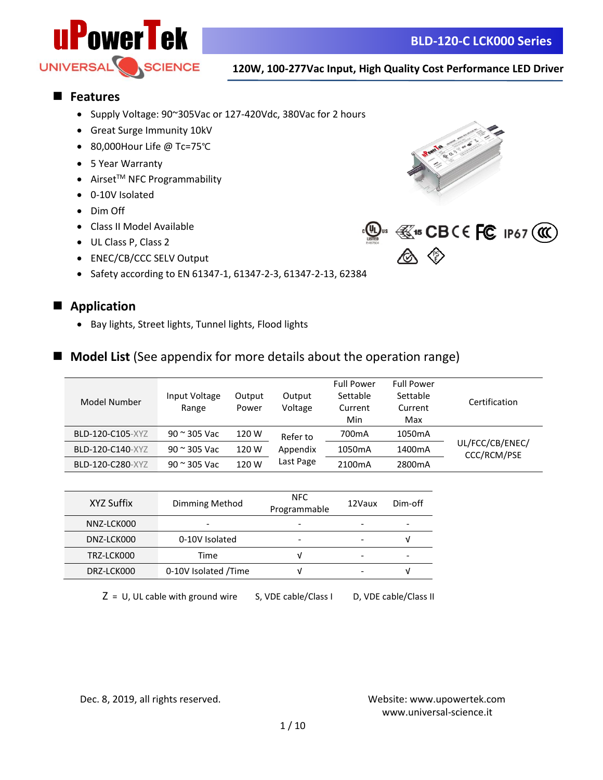

#### ■ **Features**

- Supply Voltage: 90~305Vac or 127-420Vdc, 380Vac for 2 hours
- Great Surge Immunity 10kV
- 80,000Hour Life @ Tc=75℃
- 5 Year Warranty
- $\bullet$  Airset<sup>TM</sup> NFC Programmability
- 0-10V Isolated
- Dim Off
- Class II Model Available
- UL Class P, Class 2
- ENEC/CB/CCC SELV Output
- Safety according to EN 61347-1, 61347-2-3, 61347-2-13, 62384





#### **■ Application**

• Bay lights, Street lights, Tunnel lights, Flood lights

#### ■ **Model List** (See appendix for more details about the operation range)

| Model Number     | Input Voltage<br>Range | Output<br>Power | Output<br>Voltage | <b>Full Power</b><br>Settable<br>Current<br>Min | <b>Full Power</b><br>Settable<br>Current<br>Max | Certification                  |
|------------------|------------------------|-----------------|-------------------|-------------------------------------------------|-------------------------------------------------|--------------------------------|
| BLD-120-C105-XYZ | $90 \approx 305$ Vac   | 120 W           | Refer to          | 700 <sub>m</sub> A                              | 1050mA                                          |                                |
| BLD-120-C140-XYZ | $90$ $\approx$ 305 Vac | 120 W           | Appendix          | 1050 <sub>m</sub> A                             | 1400 <sub>m</sub> A                             | UL/FCC/CB/ENEC/<br>CCC/RCM/PSE |
| BLD-120-C280-XYZ | $90 \approx 305$ Vac   | 120 W           | Last Page         | 2100 <sub>m</sub> A                             | 2800 <sub>m</sub> A                             |                                |

| XYZ Suffix | Dimming Method       | NFC.<br>Programmable | 12Vaux | Dim-off |
|------------|----------------------|----------------------|--------|---------|
| NNZ-LCK000 | -                    |                      |        |         |
| DNZ-LCK000 | 0-10V Isolated       |                      |        | ν       |
| TRZ-LCK000 | Time                 |                      | ۰      |         |
| DRZ-LCK000 | 0-10V Isolated /Time |                      |        | ν       |

 $Z = U$ , UL cable with ground wire S, VDE cable/Class I D, VDE cable/Class II

Dec. 8, 2019, all rights reserved. Website:<www.upowertek.com>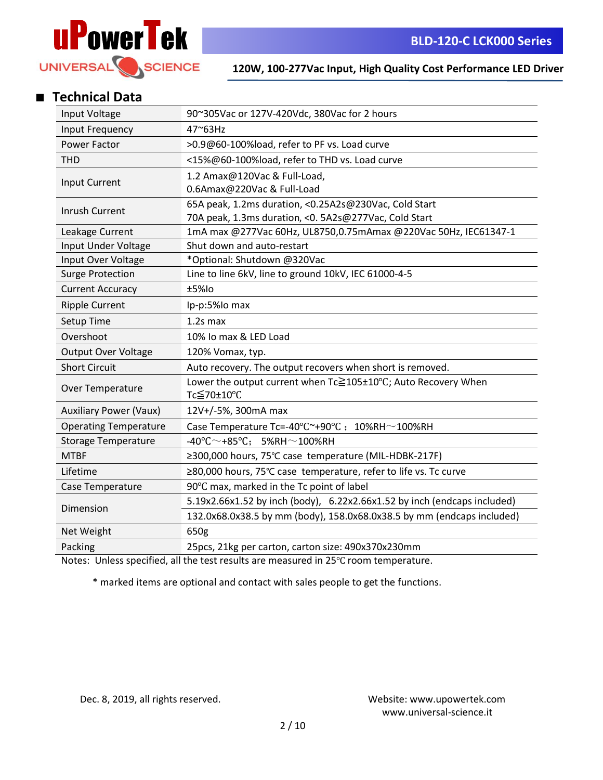

### ■ **Technical Data**

| Input Voltage                 | 90~305Vac or 127V-420Vdc, 380Vac for 2 hours                                |  |  |  |  |  |
|-------------------------------|-----------------------------------------------------------------------------|--|--|--|--|--|
| Input Frequency               | 47~63Hz                                                                     |  |  |  |  |  |
| Power Factor                  | >0.9@60-100%load, refer to PF vs. Load curve                                |  |  |  |  |  |
| <b>THD</b>                    | <15%@60-100%load, refer to THD vs. Load curve                               |  |  |  |  |  |
|                               | 1.2 Amax@120Vac & Full-Load,                                                |  |  |  |  |  |
| Input Current                 | 0.6Amax@220Vac & Full-Load                                                  |  |  |  |  |  |
| <b>Inrush Current</b>         | 65A peak, 1.2ms duration, <0.25A2s@230Vac, Cold Start                       |  |  |  |  |  |
|                               | 70A peak, 1.3ms duration, < 0. 5A2s@277Vac, Cold Start                      |  |  |  |  |  |
| Leakage Current               | 1mA max @277Vac 60Hz, UL8750,0.75mAmax @220Vac 50Hz, IEC61347-1             |  |  |  |  |  |
| Input Under Voltage           | Shut down and auto-restart                                                  |  |  |  |  |  |
| Input Over Voltage            | *Optional: Shutdown @320Vac                                                 |  |  |  |  |  |
| <b>Surge Protection</b>       | Line to line 6kV, line to ground 10kV, IEC 61000-4-5                        |  |  |  |  |  |
| <b>Current Accuracy</b>       | $±5%$ lo                                                                    |  |  |  |  |  |
| <b>Ripple Current</b>         | Ip-p:5%lo max                                                               |  |  |  |  |  |
| Setup Time                    | $1.2s$ max                                                                  |  |  |  |  |  |
| Overshoot                     | 10% Io max & LED Load                                                       |  |  |  |  |  |
| Output Over Voltage           | 120% Vomax, typ.                                                            |  |  |  |  |  |
| <b>Short Circuit</b>          | Auto recovery. The output recovers when short is removed.                   |  |  |  |  |  |
| Over Temperature              | Lower the output current when Tc≧105±10°C; Auto Recovery When<br>Tc≦70±10°C |  |  |  |  |  |
| <b>Auxiliary Power (Vaux)</b> | 12V+/-5%, 300mA max                                                         |  |  |  |  |  |
| <b>Operating Temperature</b>  | Case Temperature Tc=-40°C~+90°C; 10%RH~100%RH                               |  |  |  |  |  |
| <b>Storage Temperature</b>    | $-40^{\circ}$ C $\sim$ +85 $^{\circ}$ C; 5%RH $\sim$ 100%RH                 |  |  |  |  |  |
| <b>MTBF</b>                   | ≥300,000 hours, 75°C case temperature (MIL-HDBK-217F)                       |  |  |  |  |  |
| Lifetime                      | ≥80,000 hours, 75°C case temperature, refer to life vs. Tc curve            |  |  |  |  |  |
| Case Temperature              | 90°C max, marked in the Tc point of label                                   |  |  |  |  |  |
|                               | 5.19x2.66x1.52 by inch (body), 6.22x2.66x1.52 by inch (endcaps included)    |  |  |  |  |  |
| Dimension                     | 132.0x68.0x38.5 by mm (body), 158.0x68.0x38.5 by mm (endcaps included)      |  |  |  |  |  |
| Net Weight                    | 650g                                                                        |  |  |  |  |  |
| Packing                       | 25pcs, 21kg per carton, carton size: 490x370x230mm                          |  |  |  |  |  |

Notes: Unless specified, all the test results are measured in 25℃ room temperature.

\* marked items are optional and contact with sales people to get the functions.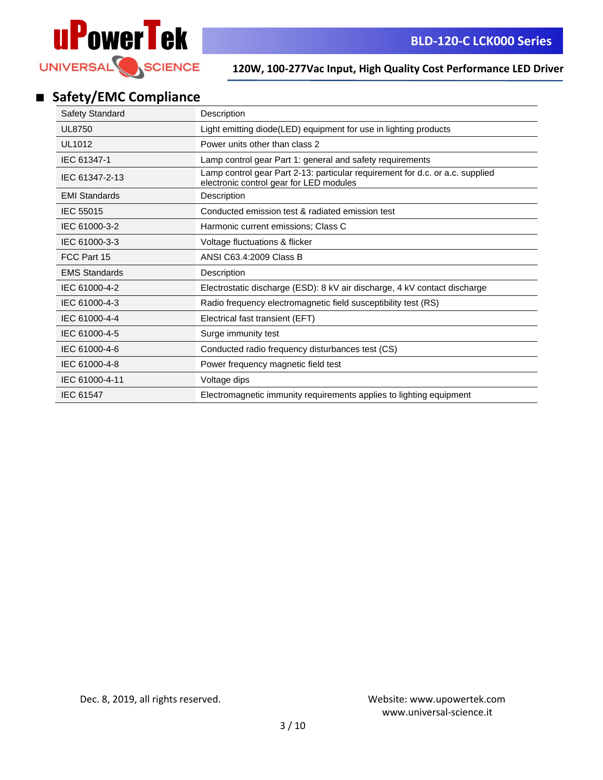

# ■ **Safety/EMC Compliance**

| <b>Safety Standard</b> | Description                                                                                                              |
|------------------------|--------------------------------------------------------------------------------------------------------------------------|
| <b>UL8750</b>          | Light emitting diode(LED) equipment for use in lighting products                                                         |
| UL1012                 | Power units other than class 2                                                                                           |
| IEC 61347-1            | Lamp control gear Part 1: general and safety requirements                                                                |
| IEC 61347-2-13         | Lamp control gear Part 2-13: particular requirement for d.c. or a.c. supplied<br>electronic control gear for LED modules |
| <b>EMI Standards</b>   | Description                                                                                                              |
| IEC 55015              | Conducted emission test & radiated emission test                                                                         |
| IEC 61000-3-2          | Harmonic current emissions; Class C                                                                                      |
| IEC 61000-3-3          | Voltage fluctuations & flicker                                                                                           |
| FCC Part 15            | ANSI C63.4:2009 Class B                                                                                                  |
| <b>EMS Standards</b>   | Description                                                                                                              |
| IEC 61000-4-2          | Electrostatic discharge (ESD): 8 kV air discharge, 4 kV contact discharge                                                |
| IEC 61000-4-3          | Radio frequency electromagnetic field susceptibility test (RS)                                                           |
| IEC 61000-4-4          | Electrical fast transient (EFT)                                                                                          |
| IEC 61000-4-5          | Surge immunity test                                                                                                      |
| IEC 61000-4-6          | Conducted radio frequency disturbances test (CS)                                                                         |
| IEC 61000-4-8          | Power frequency magnetic field test                                                                                      |
| IEC 61000-4-11         | Voltage dips                                                                                                             |
| <b>IEC 61547</b>       | Electromagnetic immunity requirements applies to lighting equipment                                                      |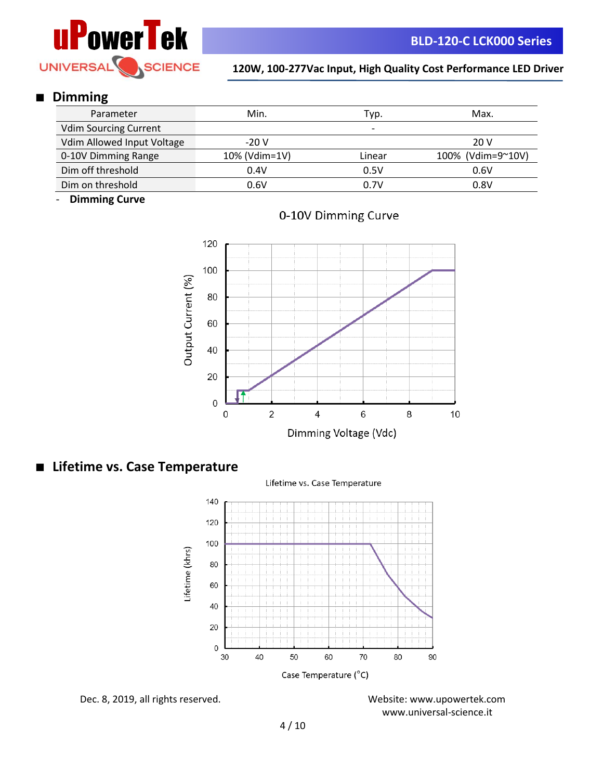

#### ■ **Dimming**

| Parameter                    | Min.          | Typ.   | Max.              |  |
|------------------------------|---------------|--------|-------------------|--|
| <b>Vdim Sourcing Current</b> |               | -      |                   |  |
| Vdim Allowed Input Voltage   | $-20V$        |        | 20 V              |  |
| 0-10V Dimming Range          | 10% (Vdim=1V) | Linear | 100% (Vdim=9~10V) |  |
| Dim off threshold            | 0.4V          | 0.5V   | 0.6V              |  |
| Dim on threshold             | 0.6V          | 0.7V   | 0.8V              |  |

- **Dimming Curve**





#### ■ **Lifetime vs. Case Temperature**





Dec. 8, 2019, all rights reserved. Website:<www.upowertek.com>

www.universal-science.it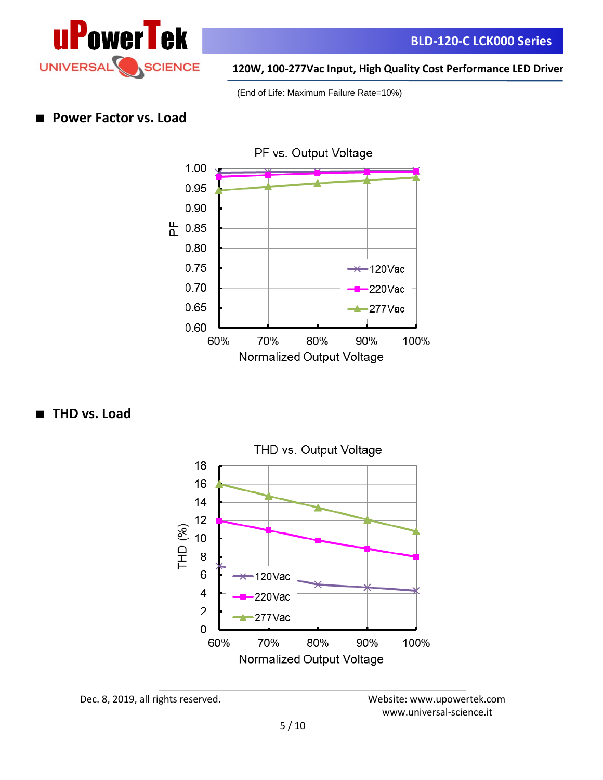

(End of Life: Maximum Failure Rate=10%)

#### **Power Factor vs. Load**



■ **THD** vs. Load



Dec. 8, 2019, all rights reserved. Website:<www.upowertek.com>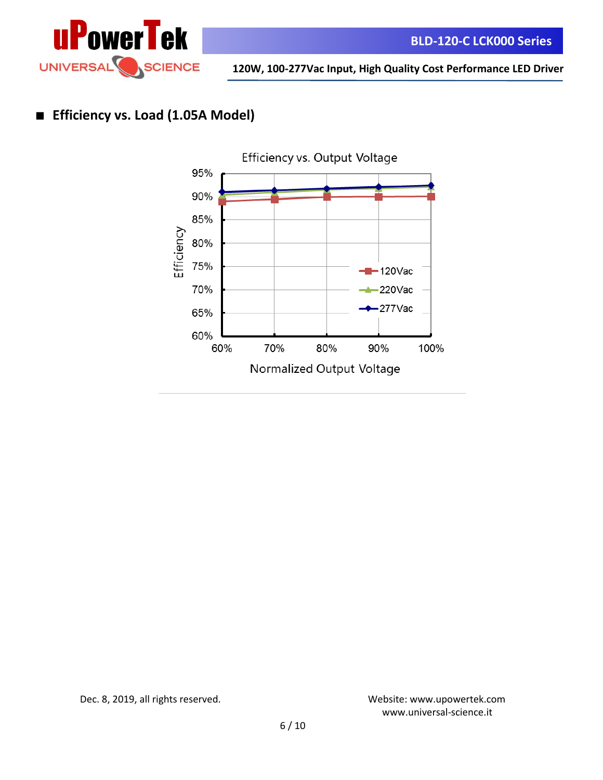

## ■ **Efficiency vs. Load (1.05A Model)**



Dec. 8, 2019, all rights reserved. Website:<www.upowertek.com>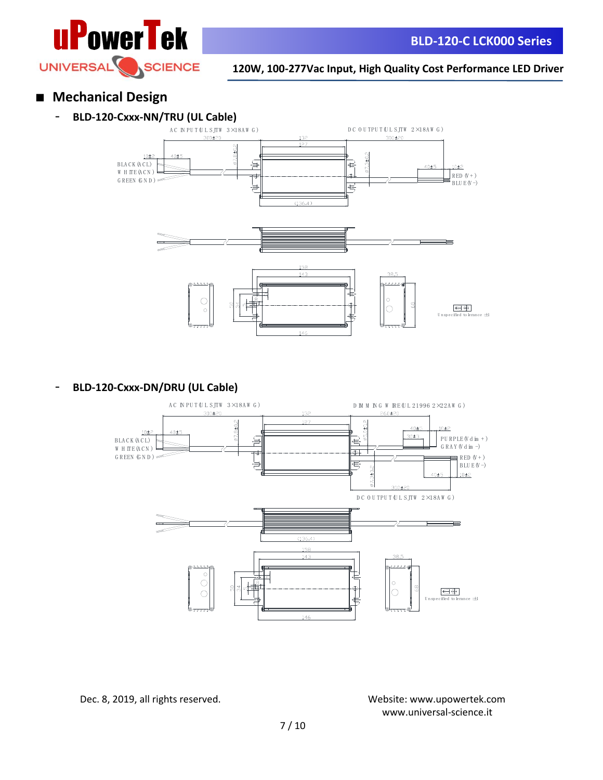





### - **BLD-120-Cxxx-DN/DRU (UL Cable)**

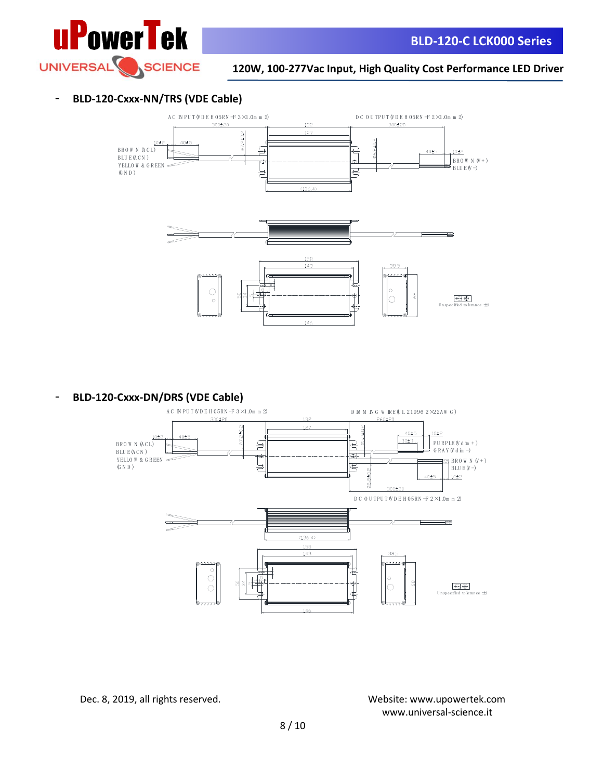

#### - **BLD-120-Cxxx-NN/TRS (VDE Cable)**



- **BLD-120-Cxxx-DN/DRS (VDE Cable)**



Dec. 8, 2019, all rights reserved. Website:<www.upowertek.com>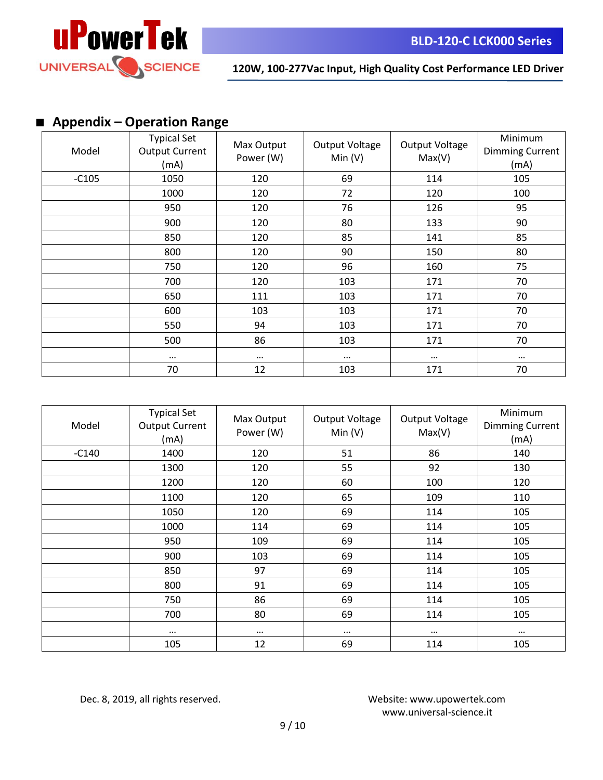

# ■ **Appendix – Operation Range**

| Model   | <b>Typical Set</b><br><b>Output Current</b><br>(mA) | Max Output<br>Power (W) | Output Voltage<br>Min(V) | Output Voltage<br>Max(V) | Minimum<br><b>Dimming Current</b><br>(mA) |
|---------|-----------------------------------------------------|-------------------------|--------------------------|--------------------------|-------------------------------------------|
| $-C105$ | 1050                                                | 120                     | 69                       | 114                      | 105                                       |
|         | 1000                                                | 120                     | 72                       | 120                      | 100                                       |
|         | 950                                                 | 120                     | 76                       | 126                      | 95                                        |
|         | 900                                                 | 120                     | 80                       | 133                      | 90                                        |
|         | 850                                                 | 120                     | 85                       | 141                      | 85                                        |
|         | 800                                                 | 120                     | 90                       | 150                      | 80                                        |
|         | 750                                                 | 120                     | 96                       | 160                      | 75                                        |
|         | 700                                                 | 120                     | 103                      | 171                      | 70                                        |
|         | 650                                                 | 111                     | 103                      | 171                      | 70                                        |
|         | 600                                                 | 103                     | 103                      | 171                      | 70                                        |
|         | 550                                                 | 94                      | 103                      | 171                      | 70                                        |
|         | 500                                                 | 86                      | 103                      | 171                      | 70                                        |
|         | $\cdots$                                            | $\cdots$                | $\cdots$                 | $\cdots$                 | $\cdots$                                  |
|         | 70                                                  | 12                      | 103                      | 171                      | 70                                        |

| Model   | <b>Typical Set</b><br><b>Output Current</b><br>(mA) | Max Output<br>Power (W) | Output Voltage<br>Min(V) | Output Voltage<br>Max(V) | Minimum<br><b>Dimming Current</b><br>(mA) |
|---------|-----------------------------------------------------|-------------------------|--------------------------|--------------------------|-------------------------------------------|
| $-C140$ | 1400                                                | 120                     | 51                       | 86                       | 140                                       |
|         | 1300                                                | 120                     | 55                       | 92                       | 130                                       |
|         | 1200                                                | 120                     | 60                       | 100                      | 120                                       |
|         | 1100                                                | 120                     | 65                       | 109                      | 110                                       |
|         | 1050                                                | 120                     | 69                       | 114                      | 105                                       |
|         | 1000                                                | 114                     | 69                       | 114                      | 105                                       |
|         | 950                                                 | 109                     | 69                       | 114                      | 105                                       |
|         | 900                                                 | 103                     | 69                       | 114                      | 105                                       |
|         | 850                                                 | 97                      | 69                       | 114                      | 105                                       |
|         | 800                                                 | 91                      | 69                       | 114                      | 105                                       |
|         | 750                                                 | 86                      | 69                       | 114                      | 105                                       |
|         | 700                                                 | 80                      | 69                       | 114                      | 105                                       |
|         | $\cdots$                                            | $\cdots$                | $\cdots$                 | $\cdots$                 | $\cdots$                                  |
|         | 105                                                 | 12                      | 69                       | 114                      | 105                                       |

Dec. 8, 2019, all rights reserved. Website:<www.upowertek.com>